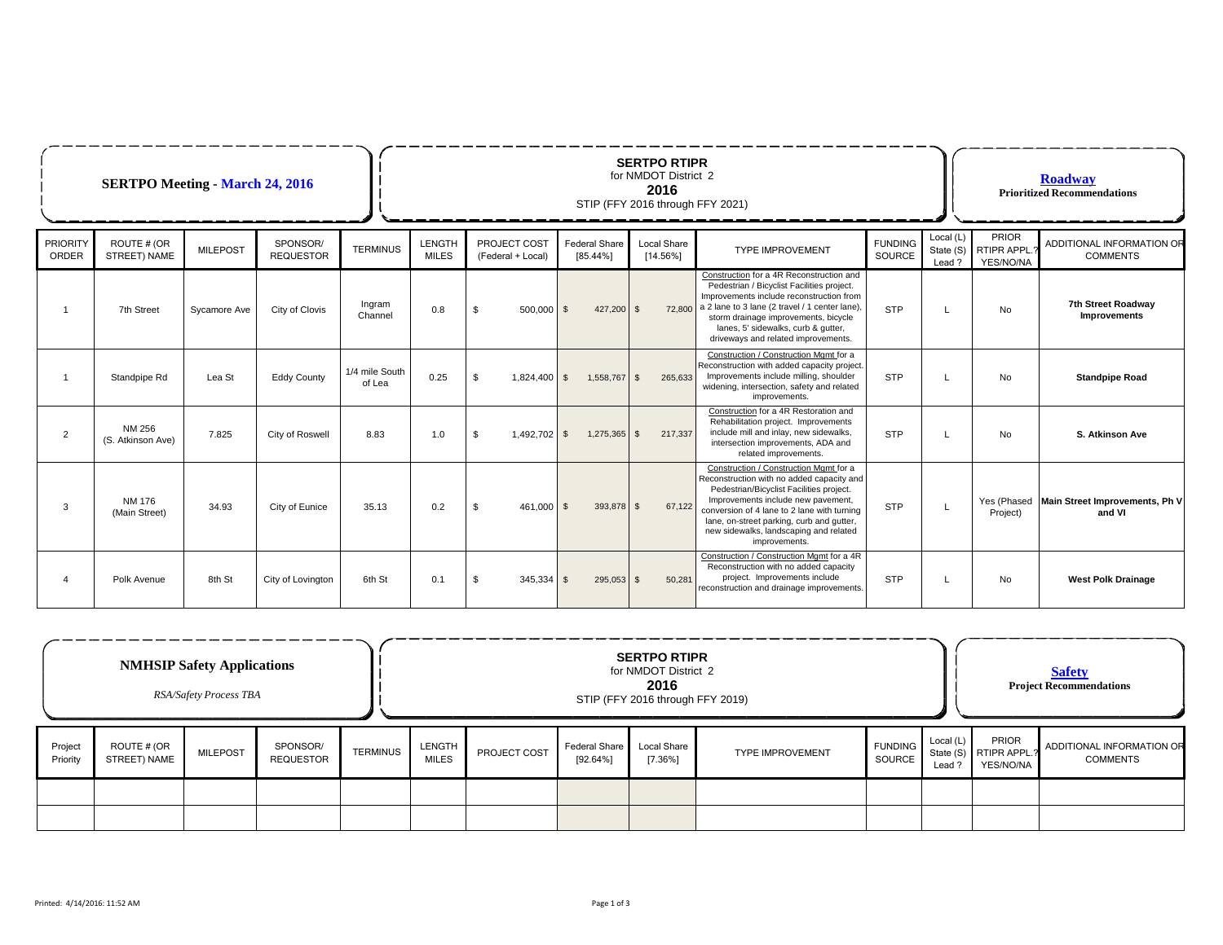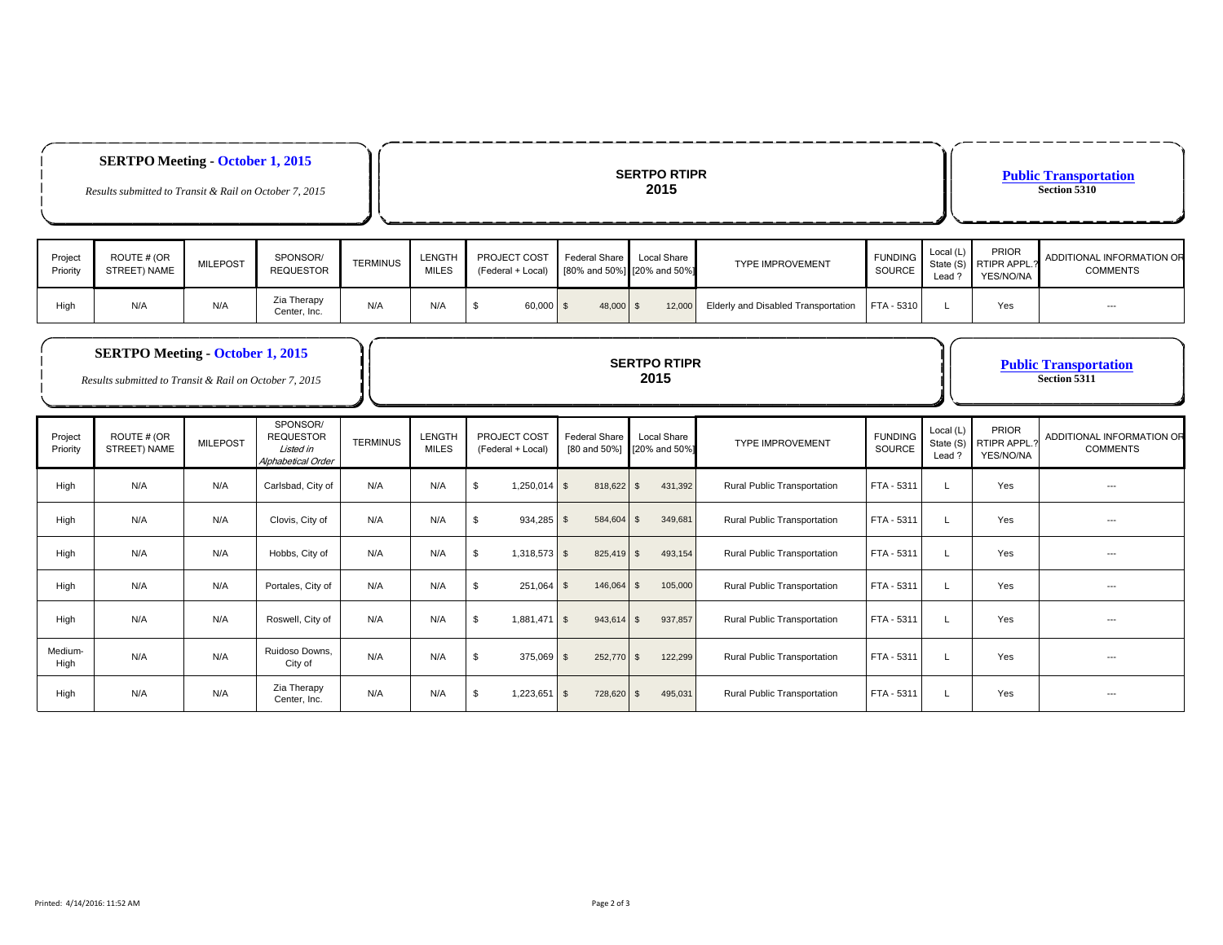|                     | <b>SERTPO Meeting October 1, 2015</b><br>Results submitted to Transit & Rail on October 7, 2015   |                 |                                                                 |                 | <b>SERTPO RTIPR</b><br>2015   |                                   |                                      |                                            |                                     |                          |                                  | <b>Public Transportation</b><br>Section 5310 |                                              |  |
|---------------------|---------------------------------------------------------------------------------------------------|-----------------|-----------------------------------------------------------------|-----------------|-------------------------------|-----------------------------------|--------------------------------------|--------------------------------------------|-------------------------------------|--------------------------|----------------------------------|----------------------------------------------|----------------------------------------------|--|
| Project<br>Priority | ROUTE # (OR<br>STREET) NAME                                                                       | <b>MILEPOST</b> | SPONSOR/<br><b>REQUESTOR</b>                                    | <b>TERMINUS</b> | <b>LENGTH</b><br><b>MILES</b> | PROJECT COST<br>(Federal + Local) | <b>Federal Share</b>                 | Local Share<br>[80% and 50%] [20% and 50%] | <b>TYPE IMPROVEMENT</b>             | <b>FUNDING</b><br>SOURCE | Local (L)<br>State (S)<br>Lead?  | PRIOR<br>RTIPR APPL.<br>YES/NO/NA            | ADDITIONAL INFORMATION OR<br><b>COMMENTS</b> |  |
| High                | N/A                                                                                               | N/A             | Zia Therapy<br>Center, Inc.                                     | N/A             | N/A                           | \$<br>60,000                      | $\sqrt{3}$<br>48,000                 | $\sqrt{3}$<br>12,000                       | Elderly and Disabled Transportation | FTA - 5310               | L                                | Yes                                          | $\hspace{0.05cm} \ldots$                     |  |
|                     | <b>SERTPO Meeting - October 1, 2015</b><br>Results submitted to Transit & Rail on October 7, 2015 |                 |                                                                 |                 | <b>SERTPO RTIPR</b><br>2015   |                                   |                                      |                                            |                                     |                          |                                  | <b>Public Transportation</b><br>Section 5311 |                                              |  |
| Project<br>Priority | ROUTE # (OR<br>STREET) NAME                                                                       | <b>MILEPOST</b> | SPONSOR/<br><b>REQUESTOR</b><br>Listed in<br>Alphabetical Order | <b>TERMINUS</b> | LENGTH<br><b>MILES</b>        | PROJECT COST<br>(Federal + Local) | <b>Federal Share</b><br>[80 and 50%] | Local Share<br>[20% and 50%]               | <b>TYPE IMPROVEMENT</b>             | <b>FUNDING</b><br>SOURCE | Local (L)<br>State (S)<br>Lead ? | PRIOR<br><b>RTIPR APPL</b><br>YES/NO/NA      | ADDITIONAL INFORMATION OR<br><b>COMMENTS</b> |  |
| High                | N/A                                                                                               | N/A             | Carlsbad, City of                                               | N/A             | N/A                           | \$<br>1,250,014                   | $\sqrt{S}$<br>818,622 \$             | 431,392                                    | Rural Public Transportation         | FTA - 5311               | L                                | Yes                                          | ---                                          |  |
| High                | N/A                                                                                               | N/A             | Clovis, City of                                                 | N/A             | N/A                           | -\$<br>934,285                    | $\sqrt{3}$<br>584,604                | 349,681<br>\$                              | Rural Public Transportation         | FTA - 5311               | $\mathbf{I}$                     | Yes                                          | $\hspace{0.05cm} \ldots$                     |  |
| High                | N/A                                                                                               | N/A             | Hobbs, City of                                                  | N/A             | N/A                           | \$<br>$1,318,573$ \$              | 825,419 \$                           | 493,154                                    | Rural Public Transportation         | FTA - 5311               | L                                | Yes                                          | ---                                          |  |
| High                | N/A                                                                                               | N/A             | Portales, City of                                               | N/A             | N/A                           | \$<br>$251,064$ \$                | 146,064 \$                           | 105,000                                    | Rural Public Transportation         | FTA - 5311               | <b>L</b>                         | Yes                                          | ---                                          |  |
|                     |                                                                                                   |                 |                                                                 |                 |                               |                                   |                                      |                                            |                                     |                          |                                  |                                              |                                              |  |
| High                | N/A                                                                                               | N/A             | Roswell, City of                                                | N/A             | N/A                           | \$<br>1,881,471 \$                | 943,614 \$                           | 937,857                                    | Rural Public Transportation         | FTA - 5311               | $\perp$                          | Yes                                          | $\overline{a}$                               |  |
| Medium-<br>High     | N/A                                                                                               | N/A             | Ruidoso Downs.<br>City of                                       | N/A             | N/A                           | \$<br>375,069                     | $\sqrt{S}$<br>252,770                | 122,299<br>$\sqrt{3}$                      | Rural Public Transportation         | FTA - 5311               | $\perp$                          | Yes                                          |                                              |  |